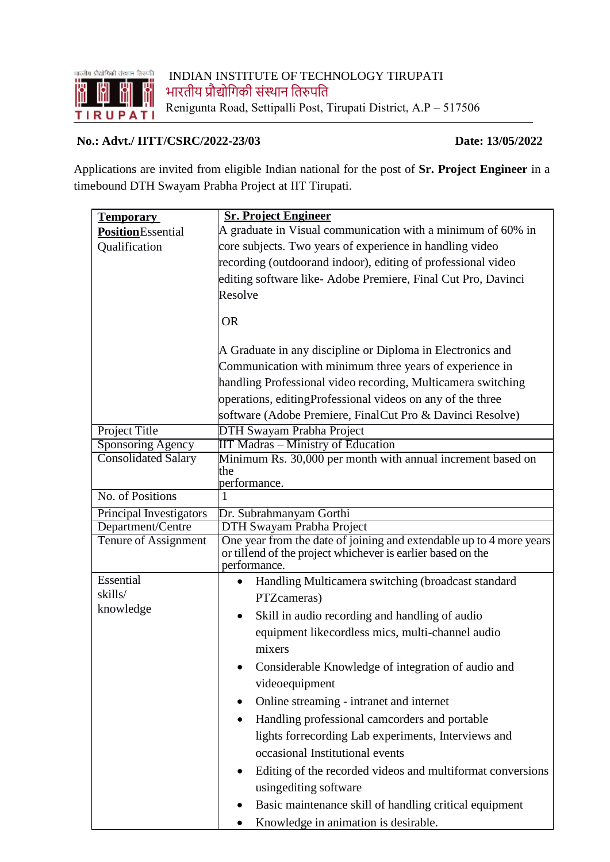

## **No.: Advt./ IITT/CSRC/2022-23/03 Date: 13/05/2022**

Applications are invited from eligible Indian national for the post of **Sr. Project Engineer** in a timebound DTH Swayam Prabha Project at IIT Tirupati.

| <u>Temporary</u>           | <b>Sr. Project Engineer</b>                                         |
|----------------------------|---------------------------------------------------------------------|
| <b>Position</b> Essential  | A graduate in Visual communication with a minimum of 60% in         |
| Qualification              | core subjects. Two years of experience in handling video            |
|                            | recording (outdoorand indoor), editing of professional video        |
|                            | editing software like- Adobe Premiere, Final Cut Pro, Davinci       |
|                            | Resolve                                                             |
|                            |                                                                     |
|                            | <b>OR</b>                                                           |
|                            | A Graduate in any discipline or Diploma in Electronics and          |
|                            |                                                                     |
|                            | Communication with minimum three years of experience in             |
|                            | handling Professional video recording, Multicamera switching        |
|                            | operations, editing Professional videos on any of the three         |
|                            | software (Adobe Premiere, FinalCut Pro & Davinci Resolve)           |
| Project Title              | <b>DTH Swayam Prabha Project</b>                                    |
| <b>Sponsoring Agency</b>   | <b>IIT Madras – Ministry of Education</b>                           |
| <b>Consolidated Salary</b> | Minimum Rs. 30,000 per month with annual increment based on         |
|                            | the<br>performance.                                                 |
| No. of Positions           |                                                                     |
| Principal Investigators    | Dr. Subrahmanyam Gorthi                                             |
| Department/Centre          | DTH Swayam Prabha Project                                           |
| Tenure of Assignment       | One year from the date of joining and extendable up to 4 more years |
|                            | or tillend of the project whichever is earlier based on the         |
|                            | performance.                                                        |
| Essential                  | Handling Multicamera switching (broadcast standard                  |
| skills/                    | PTZcameras)                                                         |
| knowledge                  | Skill in audio recording and handling of audio                      |
|                            | equipment likecordless mics, multi-channel audio                    |
|                            | mixers                                                              |
|                            | Considerable Knowledge of integration of audio and                  |
|                            | videoequipment                                                      |
|                            |                                                                     |
|                            | Online streaming - intranet and internet<br>٠                       |
|                            | Handling professional camcorders and portable                       |
|                            | lights forrecording Lab experiments, Interviews and                 |
|                            | occasional Institutional events                                     |
|                            | Editing of the recorded videos and multiformat conversions          |
|                            | using editing software                                              |
|                            | Basic maintenance skill of handling critical equipment              |
|                            |                                                                     |
|                            | Knowledge in animation is desirable.                                |